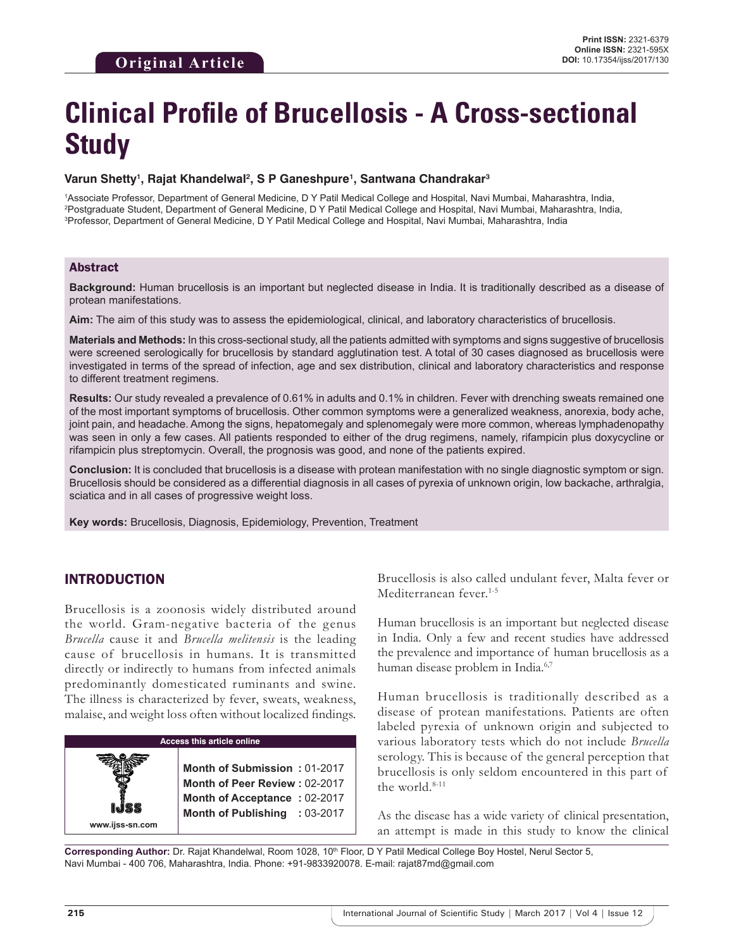# **Clinical Profile of Brucellosis - A Cross-sectional Study**

#### **Varun Shetty1 , Rajat Khandelwal2 , S P Ganeshpure1 , Santwana Chandrakar3**

1 Associate Professor, Department of General Medicine, D Y Patil Medical College and Hospital, Navi Mumbai, Maharashtra, India, 2 Postgraduate Student, Department of General Medicine, D Y Patil Medical College and Hospital, Navi Mumbai, Maharashtra, India, 3 Professor, Department of General Medicine, D Y Patil Medical College and Hospital, Navi Mumbai, Maharashtra, India

## Abstract

**Background:** Human brucellosis is an important but neglected disease in India. It is traditionally described as a disease of protean manifestations.

**Aim:** The aim of this study was to assess the epidemiological, clinical, and laboratory characteristics of brucellosis.

**Materials and Methods:** In this cross-sectional study, all the patients admitted with symptoms and signs suggestive of brucellosis were screened serologically for brucellosis by standard agglutination test. A total of 30 cases diagnosed as brucellosis were investigated in terms of the spread of infection, age and sex distribution, clinical and laboratory characteristics and response to different treatment regimens.

**Results:** Our study revealed a prevalence of 0.61% in adults and 0.1% in children. Fever with drenching sweats remained one of the most important symptoms of brucellosis. Other common symptoms were a generalized weakness, anorexia, body ache, joint pain, and headache. Among the signs, hepatomegaly and splenomegaly were more common, whereas lymphadenopathy was seen in only a few cases. All patients responded to either of the drug regimens, namely, rifampicin plus doxycycline or rifampicin plus streptomycin. Overall, the prognosis was good, and none of the patients expired.

**Conclusion:** It is concluded that brucellosis is a disease with protean manifestation with no single diagnostic symptom or sign. Brucellosis should be considered as a differential diagnosis in all cases of pyrexia of unknown origin, low backache, arthralgia, sciatica and in all cases of progressive weight loss.

**Key words:** Brucellosis, Diagnosis, Epidemiology, Prevention, Treatment

# INTRODUCTION

**www.ijss-sn.com**

Brucellosis is a zoonosis widely distributed around the world. Gram-negative bacteria of the genus *Brucella* cause it and *Brucella melitensis* is the leading cause of brucellosis in humans. It is transmitted directly or indirectly to humans from infected animals predominantly domesticated ruminants and swine. The illness is characterized by fever, sweats, weakness, malaise, and weight loss often without localized findings.

#### **Access this article online**

**Month of Submission :** 01-2017 **Month of Peer Review :** 02-2017 **Month of Acceptance :** 02-2017 **Month of Publishing :** 03-2017 Brucellosis is also called undulant fever, Malta fever or Mediterranean fever.<sup>1-5</sup>

Human brucellosis is an important but neglected disease in India. Only a few and recent studies have addressed the prevalence and importance of human brucellosis as a human disease problem in India.<sup>6,7</sup>

Human brucellosis is traditionally described as a disease of protean manifestations. Patients are often labeled pyrexia of unknown origin and subjected to various laboratory tests which do not include *Brucella* serology. This is because of the general perception that brucellosis is only seldom encountered in this part of the world. $8-11$ 

As the disease has a wide variety of clinical presentation, an attempt is made in this study to know the clinical

Corresponding Author: Dr. Rajat Khandelwal, Room 1028, 10<sup>th</sup> Floor, D Y Patil Medical College Boy Hostel, Nerul Sector 5, Navi Mumbai - 400 706, Maharashtra, India. Phone: +91-9833920078. E-mail: rajat87md@gmail.com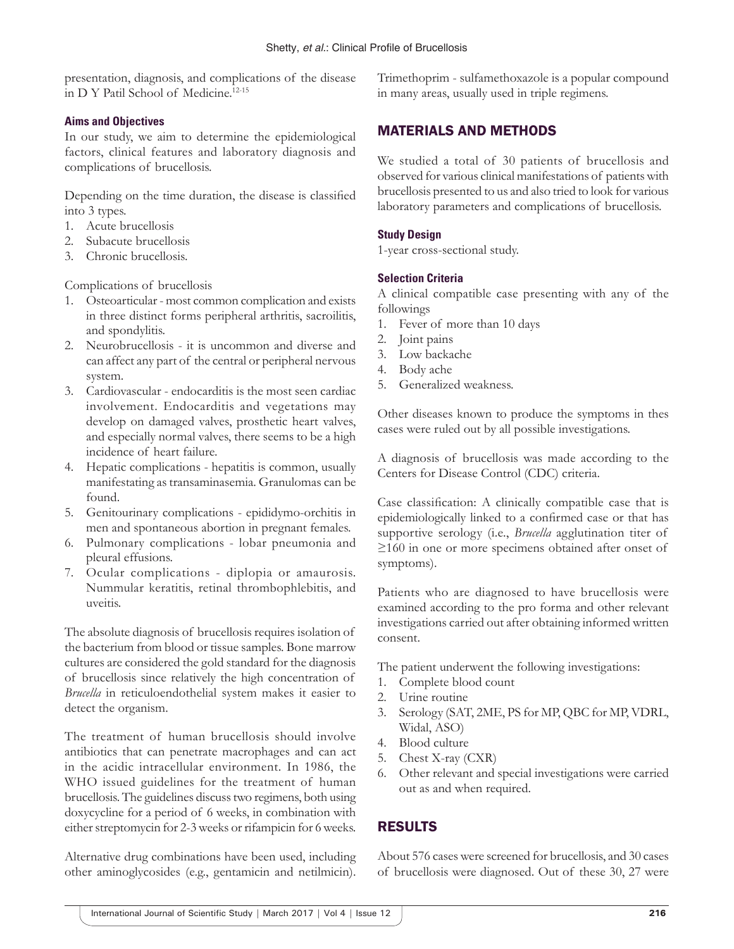presentation, diagnosis, and complications of the disease in D Y Patil School of Medicine.12-15

#### **Aims and Objectives**

In our study, we aim to determine the epidemiological factors, clinical features and laboratory diagnosis and complications of brucellosis.

Depending on the time duration, the disease is classified into 3 types.

- 1. Acute brucellosis
- 2. Subacute brucellosis
- 3. Chronic brucellosis.

Complications of brucellosis

- 1. Osteoarticular most common complication and exists in three distinct forms peripheral arthritis, sacroilitis, and spondylitis.
- 2. Neurobrucellosis it is uncommon and diverse and can affect any part of the central or peripheral nervous system.
- 3. Cardiovascular endocarditis is the most seen cardiac involvement. Endocarditis and vegetations may develop on damaged valves, prosthetic heart valves, and especially normal valves, there seems to be a high incidence of heart failure.
- 4. Hepatic complications hepatitis is common, usually manifestating as transaminasemia. Granulomas can be found.
- 5. Genitourinary complications epididymo-orchitis in men and spontaneous abortion in pregnant females.
- 6. Pulmonary complications lobar pneumonia and pleural effusions.
- 7. Ocular complications diplopia or amaurosis. Nummular keratitis, retinal thrombophlebitis, and uveitis.

The absolute diagnosis of brucellosis requires isolation of the bacterium from blood or tissue samples. Bone marrow cultures are considered the gold standard for the diagnosis of brucellosis since relatively the high concentration of *Brucella* in reticuloendothelial system makes it easier to detect the organism.

The treatment of human brucellosis should involve antibiotics that can penetrate macrophages and can act in the acidic intracellular environment. In 1986, the WHO issued guidelines for the treatment of human brucellosis. The guidelines discuss two regimens, both using doxycycline for a period of 6 weeks, in combination with either streptomycin for 2-3 weeks or rifampicin for 6 weeks.

Alternative drug combinations have been used, including other aminoglycosides (e.g., gentamicin and netilmicin).

Trimethoprim - sulfamethoxazole is a popular compound in many areas, usually used in triple regimens.

# MATERIALS AND METHODS

We studied a total of 30 patients of brucellosis and observed for various clinical manifestations of patients with brucellosis presented to us and also tried to look for various laboratory parameters and complications of brucellosis.

## **Study Design**

1-year cross-sectional study.

## **Selection Criteria**

A clinical compatible case presenting with any of the followings

- 1. Fever of more than 10 days
- 2. Joint pains
- 3. Low backache
- 4. Body ache
- 5. Generalized weakness.

Other diseases known to produce the symptoms in thes cases were ruled out by all possible investigations.

A diagnosis of brucellosis was made according to the Centers for Disease Control (CDC) criteria.

Case classification: A clinically compatible case that is epidemiologically linked to a confirmed case or that has supportive serology (i.e., *Brucella* agglutination titer of ≥160 in one or more specimens obtained after onset of symptoms).

Patients who are diagnosed to have brucellosis were examined according to the pro forma and other relevant investigations carried out after obtaining informed written consent.

The patient underwent the following investigations:

- 1. Complete blood count
- 2. Urine routine
- 3. Serology (SAT, 2ME, PS for MP, QBC for MP, VDRL, Widal, ASO)
- 4. Blood culture
- 5. Chest X-ray (CXR)
- 6. Other relevant and special investigations were carried out as and when required.

# RESULTS

About 576 cases were screened for brucellosis, and 30 cases of brucellosis were diagnosed. Out of these 30, 27 were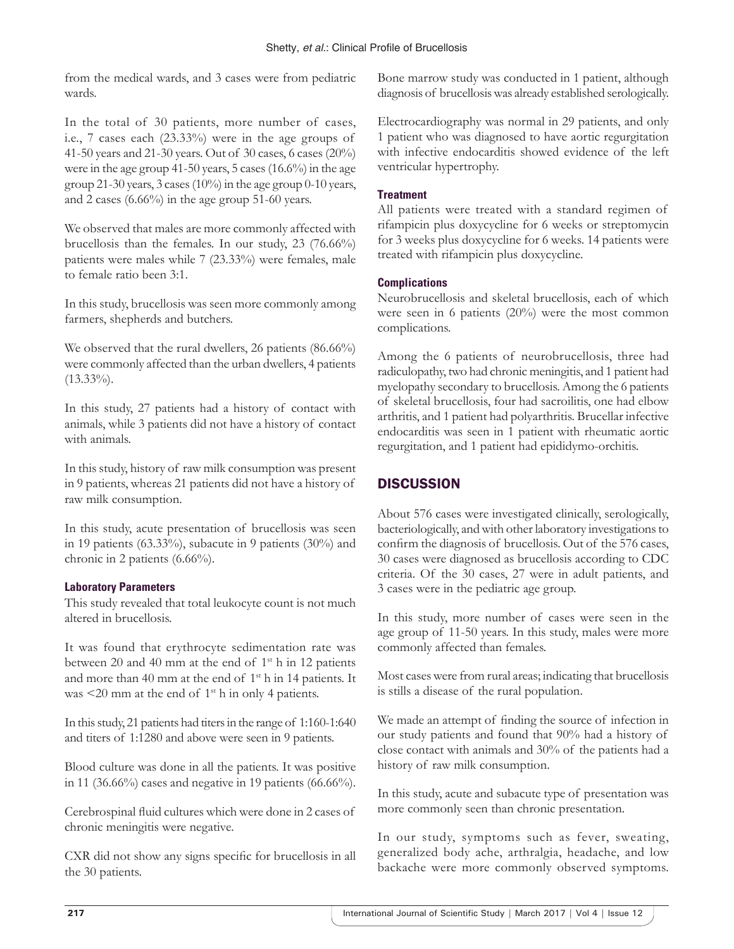from the medical wards, and 3 cases were from pediatric wards.

In the total of 30 patients, more number of cases, i.e., 7 cases each (23.33%) were in the age groups of 41-50 years and 21-30 years. Out of 30 cases, 6 cases (20%) were in the age group 41-50 years, 5 cases (16.6%) in the age group 21-30 years, 3 cases (10%) in the age group 0-10 years, and 2 cases (6.66%) in the age group 51-60 years.

We observed that males are more commonly affected with brucellosis than the females. In our study, 23 (76.66%) patients were males while 7 (23.33%) were females, male to female ratio been 3:1.

In this study, brucellosis was seen more commonly among farmers, shepherds and butchers.

We observed that the rural dwellers, 26 patients (86.66%) were commonly affected than the urban dwellers, 4 patients  $(13.33\%)$ .

In this study, 27 patients had a history of contact with animals, while 3 patients did not have a history of contact with animals.

In this study, history of raw milk consumption was present in 9 patients, whereas 21 patients did not have a history of raw milk consumption.

In this study, acute presentation of brucellosis was seen in 19 patients (63.33%), subacute in 9 patients (30%) and chronic in 2 patients (6.66%).

#### **Laboratory Parameters**

This study revealed that total leukocyte count is not much altered in brucellosis.

It was found that erythrocyte sedimentation rate was between 20 and 40 mm at the end of  $1<sup>st</sup>$  h in 12 patients and more than 40 mm at the end of 1<sup>st</sup> h in 14 patients. It was  $\leq$ 20 mm at the end of 1<sup>st</sup> h in only 4 patients.

In this study, 21 patients had titers in the range of 1:160-1:640 and titers of 1:1280 and above were seen in 9 patients.

Blood culture was done in all the patients. It was positive in 11 (36.66%) cases and negative in 19 patients (66.66%).

Cerebrospinal fluid cultures which were done in 2 cases of chronic meningitis were negative.

CXR did not show any signs specific for brucellosis in all the 30 patients.

Bone marrow study was conducted in 1 patient, although diagnosis of brucellosis was already established serologically.

Electrocardiography was normal in 29 patients, and only 1 patient who was diagnosed to have aortic regurgitation with infective endocarditis showed evidence of the left ventricular hypertrophy.

## **Treatment**

All patients were treated with a standard regimen of rifampicin plus doxycycline for 6 weeks or streptomycin for 3 weeks plus doxycycline for 6 weeks. 14 patients were treated with rifampicin plus doxycycline.

### **Complications**

Neurobrucellosis and skeletal brucellosis, each of which were seen in 6 patients (20%) were the most common complications.

Among the 6 patients of neurobrucellosis, three had radiculopathy, two had chronic meningitis, and 1 patient had myelopathy secondary to brucellosis. Among the 6 patients of skeletal brucellosis, four had sacroilitis, one had elbow arthritis, and 1 patient had polyarthritis. Brucellar infective endocarditis was seen in 1 patient with rheumatic aortic regurgitation, and 1 patient had epididymo-orchitis.

# **DISCUSSION**

About 576 cases were investigated clinically, serologically, bacteriologically, and with other laboratory investigations to confirm the diagnosis of brucellosis. Out of the 576 cases, 30 cases were diagnosed as brucellosis according to CDC criteria. Of the 30 cases, 27 were in adult patients, and 3 cases were in the pediatric age group.

In this study, more number of cases were seen in the age group of 11-50 years. In this study, males were more commonly affected than females.

Most cases were from rural areas; indicating that brucellosis is stills a disease of the rural population.

We made an attempt of finding the source of infection in our study patients and found that 90% had a history of close contact with animals and 30% of the patients had a history of raw milk consumption.

In this study, acute and subacute type of presentation was more commonly seen than chronic presentation.

In our study, symptoms such as fever, sweating, generalized body ache, arthralgia, headache, and low backache were more commonly observed symptoms.